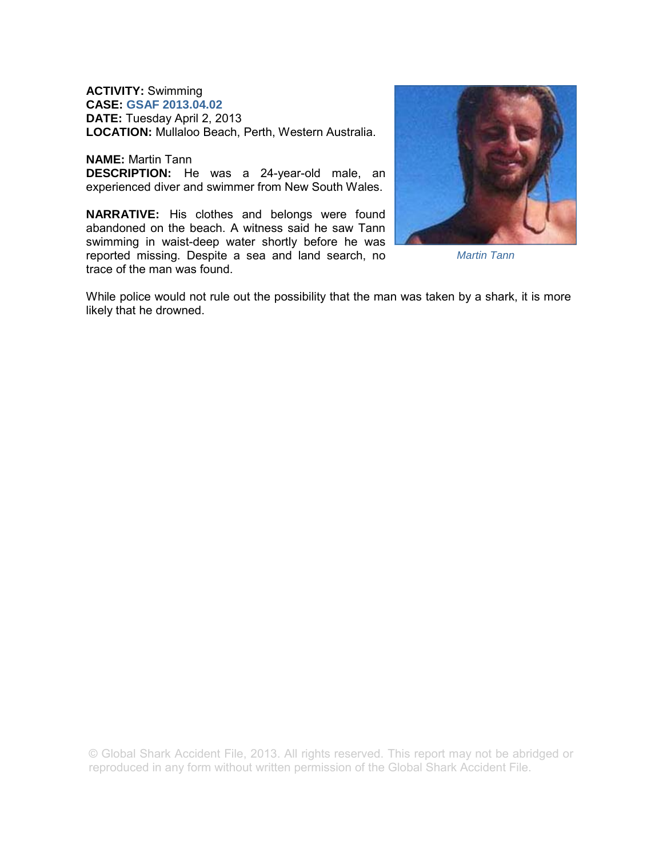**ACTIVITY:** Swimming **CASE: GSAF 2013.04.02 DATE:** Tuesday April 2, 2013 **LOCATION:** Mullaloo Beach, Perth, Western Australia.

**NAME:** Martin Tann **DESCRIPTION:** He was a 24-year-old male, an experienced diver and swimmer from New South Wales.

**NARRATIVE:** His clothes and belongs were found abandoned on the beach. A witness said he saw Tann swimming in waist-deep water shortly before he was reported missing. Despite a sea and land search, no trace of the man was found.



*Martin Tann* 

While police would not rule out the possibility that the man was taken by a shark, it is more likely that he drowned.

© Global Shark Accident File, 2013. All rights reserved. This report may not be abridged or reproduced in any form without written permission of the Global Shark Accident File.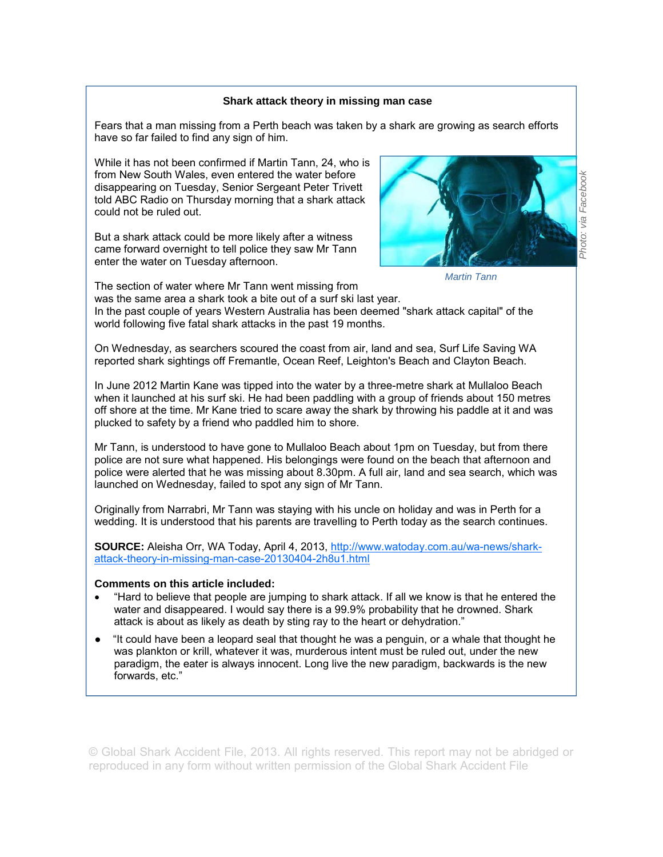## **Shark attack theory in missing man case**

Fears that a man missing from a Perth beach was taken by a shark are growing as search efforts have so far failed to find any sign of him.

While it has not been confirmed if Martin Tann, 24, who is from New South Wales, even entered the water before disappearing on Tuesday, Senior Sergeant Peter Trivett told ABC Radio on Thursday morning that a shark attack could not be ruled out.

But a shark attack could be more likely after a witness came forward overnight to tell police they saw Mr Tann enter the water on Tuesday afternoon.



*Martin Tann* 

The section of water where Mr Tann went missing from was the same area a shark took a bite out of a surf ski last year. In the past couple of years Western Australia has been deemed "shark attack capital" of the world following five fatal shark attacks in the past 19 months.

On Wednesday, as searchers scoured the coast from air, land and sea, Surf Life Saving WA reported shark sightings off Fremantle, Ocean Reef, Leighton's Beach and Clayton Beach.

In June 2012 Martin Kane was tipped into the water by a three-metre shark at Mullaloo Beach when it launched at his surf ski. He had been paddling with a group of friends about 150 metres off shore at the time. Mr Kane tried to scare away the shark by throwing his paddle at it and was plucked to safety by a friend who paddled him to shore.

Mr Tann, is understood to have gone to Mullaloo Beach about 1pm on Tuesday, but from there police are not sure what happened. His belongings were found on the beach that afternoon and police were alerted that he was missing about 8.30pm. A full air, land and sea search, which was launched on Wednesday, failed to spot any sign of Mr Tann.

Originally from Narrabri, Mr Tann was staying with his uncle on holiday and was in Perth for a wedding. It is understood that his parents are travelling to Perth today as the search continues.

SOURCE: Aleisha Orr, WA Today, April 4, 2013, http://www.watoday.com.au/wa-news/sharkattack-theory-in-missing-man-case-20130404-2h8u1.html

## **Comments on this article included:**

- "Hard to believe that people are jumping to shark attack. If all we know is that he entered the water and disappeared. I would say there is a 99.9% probability that he drowned. Shark attack is about as likely as death by sting ray to the heart or dehydration."
- "It could have been a leopard seal that thought he was a penguin, or a whale that thought he was plankton or krill, whatever it was, murderous intent must be ruled out, under the new paradigm, the eater is always innocent. Long live the new paradigm, backwards is the new forwards, etc."

© Global Shark Accident File, 2013. All rights reserved. This report may not be abridged or reproduced in any form without written permission of the Global Shark Accident File